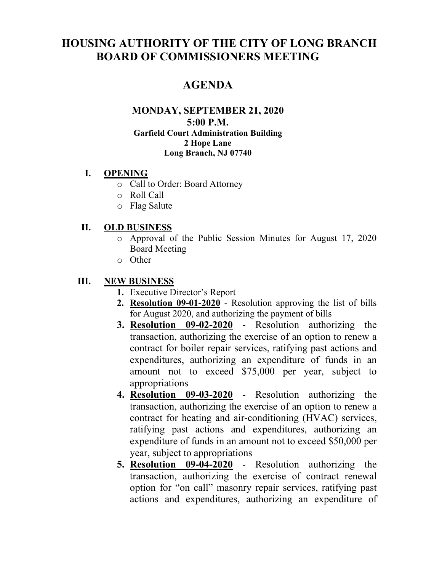# **HOUSING AUTHORITY OF THE CITY OF LONG BRANCH BOARD OF COMMISSIONERS MEETING**

### **AGENDA**

#### **MONDAY, SEPTEMBER 21, 2020 5:00 P.M. Garfield Court Administration Building 2 Hope Lane Long Branch, NJ 07740**

#### **I. OPENING**

- o Call to Order: Board Attorney
- o Roll Call
- o Flag Salute

#### **II. OLD BUSINESS**

- o Approval of the Public Session Minutes for August 17, 2020 Board Meeting
- o Other

#### **III. NEW BUSINESS**

- **1.** Executive Director's Report
- **2. Resolution 09-01-2020** Resolution approving the list of bills for August 2020, and authorizing the payment of bills
- **3. Resolution 09-02-2020** Resolution authorizing the transaction, authorizing the exercise of an option to renew a contract for boiler repair services, ratifying past actions and expenditures, authorizing an expenditure of funds in an amount not to exceed \$75,000 per year, subject to appropriations
- **4. Resolution 09-03-2020** Resolution authorizing the transaction, authorizing the exercise of an option to renew a contract for heating and air-conditioning (HVAC) services, ratifying past actions and expenditures, authorizing an expenditure of funds in an amount not to exceed \$50,000 per year, subject to appropriations
- **5. Resolution 09-04-2020** Resolution authorizing the transaction, authorizing the exercise of contract renewal option for "on call" masonry repair services, ratifying past actions and expenditures, authorizing an expenditure of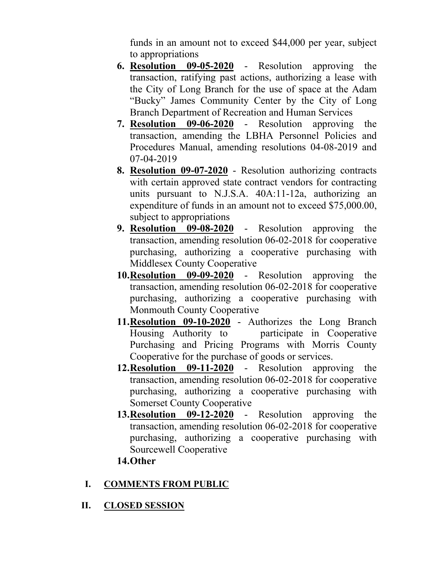funds in an amount not to exceed \$44,000 per year, subject to appropriations

- **6. Resolution 09-05-2020** Resolution approving the transaction, ratifying past actions, authorizing a lease with the City of Long Branch for the use of space at the Adam "Bucky" James Community Center by the City of Long Branch Department of Recreation and Human Services
- **7. Resolution 09-06-2020** Resolution approving the transaction, amending the LBHA Personnel Policies and Procedures Manual, amending resolutions 04-08-2019 and 07-04-2019
- **8. Resolution 09-07-2020** Resolution authorizing contracts with certain approved state contract vendors for contracting units pursuant to N.J.S.A. 40A:11-12a, authorizing an expenditure of funds in an amount not to exceed \$75,000.00, subject to appropriations
- **9. Resolution 09-08-2020** Resolution approving the transaction, amending resolution 06-02-2018 for cooperative purchasing, authorizing a cooperative purchasing with Middlesex County Cooperative
- **10.Resolution 09-09-2020** Resolution approving the transaction, amending resolution 06-02-2018 for cooperative purchasing, authorizing a cooperative purchasing with Monmouth County Cooperative
- **11.Resolution 09-10-2020** Authorizes the Long Branch Housing Authority to participate in Cooperative Purchasing and Pricing Programs with Morris County Cooperative for the purchase of goods or services.
- **12.Resolution 09-11-2020** Resolution approving the transaction, amending resolution 06-02-2018 for cooperative purchasing, authorizing a cooperative purchasing with Somerset County Cooperative
- **13.Resolution 09-12-2020** Resolution approving the transaction, amending resolution 06-02-2018 for cooperative purchasing, authorizing a cooperative purchasing with Sourcewell Cooperative
- **14.Other**

### **I. COMMENTS FROM PUBLIC**

**II. CLOSED SESSION**